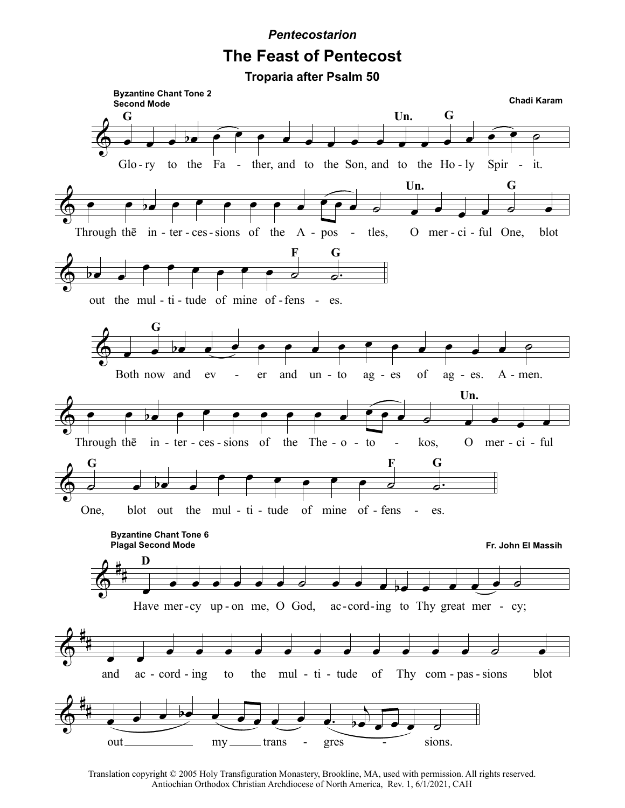**Pentecostarion** 

## **The Feast of Pentecost**



Translation copyright © 2005 Holy Transfiguration Monastery, Brookline, MA, used with permission. All rights reserved. Antiochian Orthodox Christian Archdiocese of North America, Rev. 1, 6/1/2021, CAH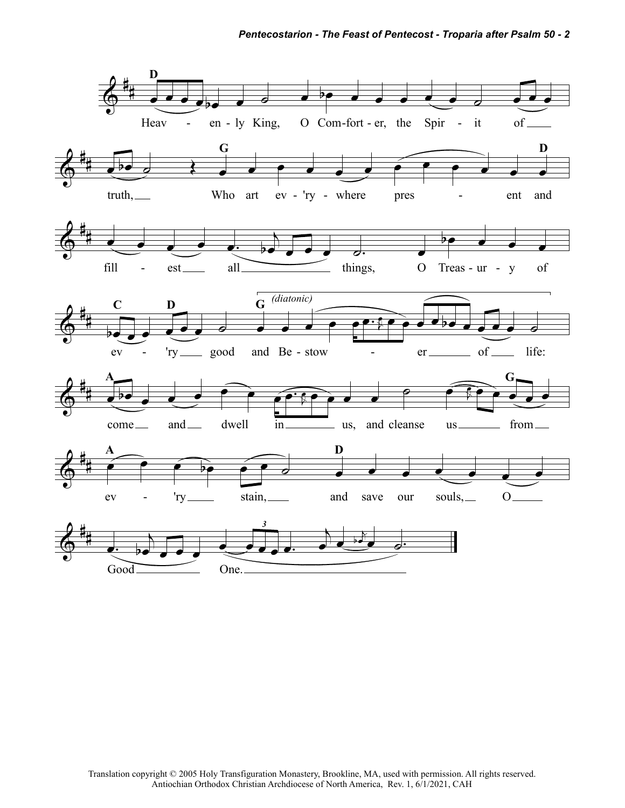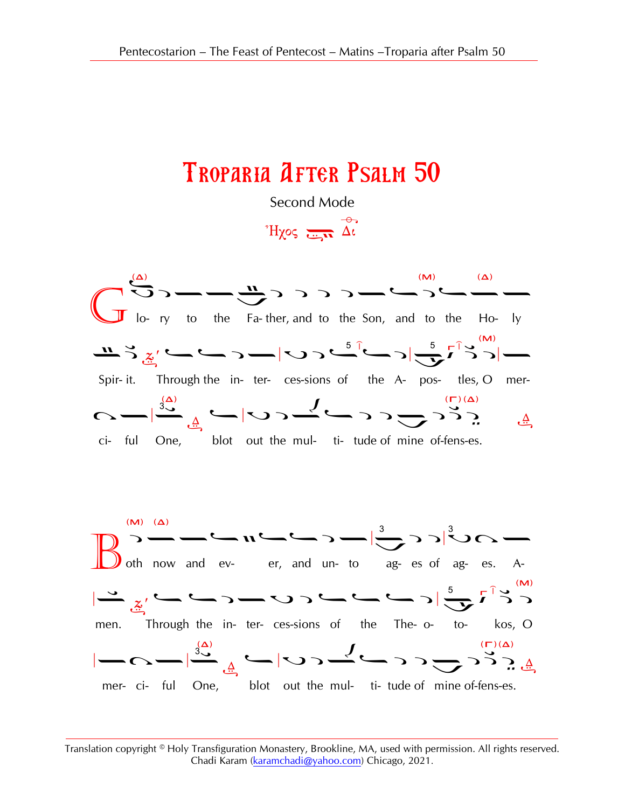## Troparia After Psalm 50

Second Mode

 $H\chi$ os  $\frac{1}{\sqrt{2\pi}} \overrightarrow{\Delta}$ 



Translation copyright © Holy Transfiguration Monastery, Brookline, MA, used with permission. All rights reserved. Chadi Karam [\(karamchadi@yahoo.com\)](mailto:karamchadi@yahoo.com) Chicago, 2021.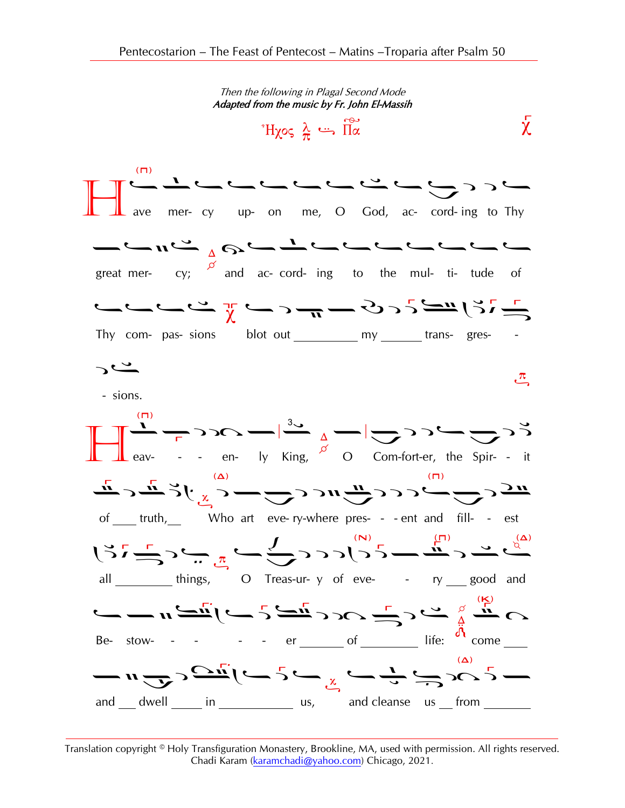

Translation copyright © Holy Transfiguration Monastery, Brookline, MA, used with permission. All rights reserved. Chadi Karam (karamchadi@yahoo.com) Chicago, 2021.